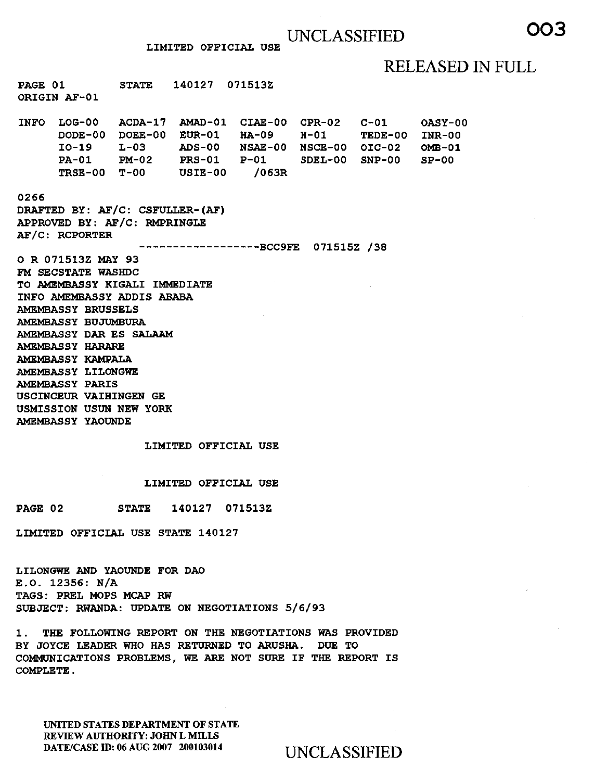LIMITED OFFICIAL USE

### RELEASED IN FULL

OASY-00

PAGE 01 ORIGIN AF-01 STATE 140127 071513Z INFO LOG-00 ACDA-17 AMAD-01 CIAE-00 CPR-02 C-01 DODE-00 DOEE-00 EUR-01 HA-09

I0-19 L-03 ADS-00 NSAE-00 NSCE-00 OIC-02 PA-01 PM-02 PRS-01 TRSE-00 T-00 USIE-00 P-Ol /063R H-01 TEDE-00 SDEL-00 SNP-00 INR-00 OMB-01  $SP-00$ 

### 0266

DRAFTED BY: AF/C: CSFULLER-(AF) APPROVED BY: AF/C: RMPRINGLE AF/C: RCPORTER

------------------BCC9FE 071515Z /38

0 R 071513Z MAY 93 FM SECSTATE WASHDC TO AMEMBASSY KIGALI IMMEDIATE INFO AMEMBASSY ADDIS ABABA AMEMBASSY BRUSSELS AMEMBASSY BUJUMBURA AMEMBASSY DAR ES SALAAM AMEMBASSY HARARE AMEMBASSY KAMPALA AMEMBASSY LILONGWE AMEMBASSY PARIS USCINCEUR VAIHINGEN GE USMISSION USUN NEW YORK AMEMBASSY YAOUNDE

### LIMITED OFFICIAL USE

LIMITED OFFICIAL USE

PAGE 02 STATE 140127 071513Z

LIMITED OFFICIAL USE STATE 140127

LILONGWE AND YAOUNDE FOR DAO E.O. 12356: N/A TAGS: PREL MOPS MCAP RW SUBJECT: RWANDA: UPDATE ON NEGOTIATIONS 5/6/93

1. THE FOLLOWING REPORT ON THE NEGOTIATIONS WAS PROVIDED BY JOYCE LEADER WHO HAS RETURNED TO ARUSHA. DUE TO COMMUNICATIONS PROBLEMS, WE ARE NOT SURE IF THE REPORT IS COMPLETE.

UNITED STATES DEPARTMENT OF STATE REVIEW AUTHORITY: JOHN L MILLS DATE/CASE ID: 06 AUG 2007 200103014 UNCLASSIFIED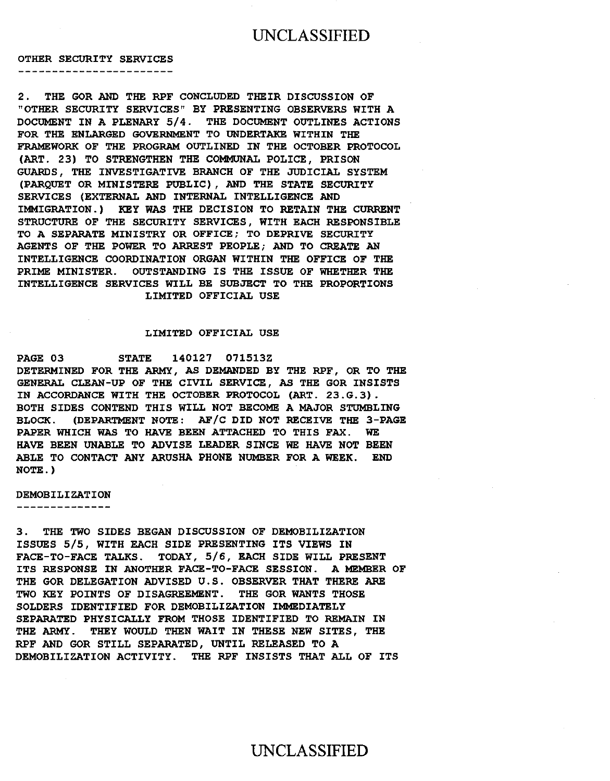### UNCLASSIFIED

OTHER SECURITY SERVICES

--------------------------

2. THE GOR AND THE RPF CONCLUDED THEIR DISCUSSION OF "OTHER SECURITY SERVICES" BY PRESENTING OBSERVERS WITH A DOCUMENT IN A PLENARY 5/4. THE DOCUMENT OUTLINES ACTIONS FOR THE ENLARGED GOVERNMENT TO UNDERTAKE WITHIN THE FRAMEWORK OF THE PROGRAM OUTLINED IN THE OCTOBER PROTOCOL (ART. 23) TO STRENGTHEN THE COMMUNAL POLICE, PRISON GUARDS, THE INVESTIGATIVE BRANCH OF THE JUDICIAL SYSTEM (PARQUET OR MINISTERE PUBLIC) , AND THE STATE SECURITY SERVICES (EXTERNAL AND INTERNAL INTELLIGENCE AND IMMIGRATION.) KEY WAS THE DECISION TO RETAIN THE CURRENT STRUCTURE OF THE SECURITY SERVICES, WITH EACH RESPONSIBLE TO A SEPARATE MINISTRY OR OFFICE; TO DEPRIVE SECURITY AGENTS OF THE POWER TO ARREST PEOPLE; AND TO CREATE AN INTELLIGENCE COORDINATION ORGAN WITHIN THE OFFICE OF THE PRIME MINISTER. OUTSTANDING IS THE ISSUE OF WHETHER THE INTELLIGENCE SERVICES WILL BE SUBJECT TO THE PROPORTIONS LIMITED OFFICIAL USE

#### LIMITED OFFICIAL USE

PAGE 03 STATE 140127 071513Z DETERMINED FOR THE ARMY, AS DEMANDED BY THE RPF, OR TO THE GENERAL CLEAN-UP OF THE CIVIL SERVICE, AS THE GOR INSISTS IN ACCORDANCE WITH THE OCTOBER PROTOCOL (ART. 23.G.3). BOTH SIDES CONTEND THIS WILL NOT BECOME A MAJOR STUMBLING BLOCK. (DEPARTMENT NOTE: AF/C DID NOT RECEIVE THE 3-PAGE PAPER WHICH WAS TO HAVE BEEN ATTACHED TO THIS FAX. WE HAVE BEEN UNABLE TO ADVISE LEADER SINCE WE HAVE NOT BEEN ABLE TO CONTACT ANY ARUSHA PHONE NUMBER FOR A WEEK. END NOTE.)

### DEMOBILIZATION

--------------

3. THE TWO SIDES BEGAN DISCUSSION OF DEMOBILIZATION ISSUES 5/5, WITH EACH SIDE PRESENTING ITS VIEWS IN FACE-TO-FACE TALKS. TODAY, 5/6, EACH SIDE WILL PRESENT ITS RESPONSE IN ANOTHER FACE-TO-FACE SESSION. A MEMBER OF THE GOR DELEGATION ADVISED U.S. OBSERVER THAT THERE ARE TWO KEY POINTS OF DISAGREEMENT. THE GOR WANTS THOSE SOLDERS IDENTIFIED FOR DEMOBILIZATION IMMEDIATELY SEPARATED PHYSICALLY FROM THOSE IDENTIFIED TO REMAIN IN THE ARMY. THEY WOULD THEN WAIT IN THESE NEW SITES, THE RPF AND GOR STILL SEPARATED, UNTIL RELEASED TO A DEMOBILIZATION ACTIVITY. THE RPF INSISTS THAT ALL OF ITS

# UNCLASSIFIED